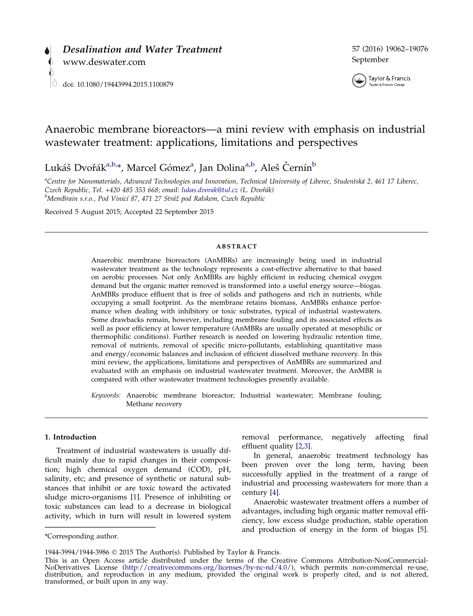



# Anaerobic membrane bioreactors—a mini review with emphasis on industrial wastewater treatment: applications, limitations and perspectives

Lukáš Dvořák<sup>a,b,</sup>\*, Marcel Gómez<sup>a</sup>, Jan Dolina<sup>a,b</sup>, Aleš Černín<sup>b</sup>

<sup>a</sup>Centre for Nanomaterials, Advanced Technologies and Innovation, Technical University of Liberec, Studentská 2, 461 17 Liberec, Czech Republic, Tel. +420 485 353 668; email: [lukas.dvorak@tul.cz](mailto:lukas.dvorak@tul.cz) (L. Dvořák) <sup>b</sup>MemBrain s.r.o., Pod Vinicí 87, 471 27 Stráž pod Ralskem, Czech Republic

Received 5 August 2015; Accepted 22 September 2015

### ABSTRACT

Anaerobic membrane bioreactors (AnMBRs) are increasingly being used in industrial wastewater treatment as the technology represents a cost-effective alternative to that based on aerobic processes. Not only AnMBRs are highly efficient in reducing chemical oxygen demand but the organic matter removed is transformed into a useful energy source—biogas. AnMBRs produce effluent that is free of solids and pathogens and rich in nutrients, while occupying a small footprint. As the membrane retains biomass, AnMBRs enhance performance when dealing with inhibitory or toxic substrates, typical of industrial wastewaters. Some drawbacks remain, however, including membrane fouling and its associated effects as well as poor efficiency at lower temperature (AnMBRs are usually operated at mesophilic or thermophilic conditions). Further research is needed on lowering hydraulic retention time, removal of nutrients, removal of specific micro-pollutants, establishing quantitative mass and energy/economic balances and inclusion of efficient dissolved methane recovery. In this mini review, the applications, limitations and perspectives of AnMBRs are summarized and evaluated with an emphasis on industrial wastewater treatment. Moreover, the AnMBR is compared with other wastewater treatment technologies presently available.

Keywords: Anaerobic membrane bioreactor; Industrial wastewater; Membrane fouling; Methane recovery

## 1. Introduction

Treatment of industrial wastewaters is usually difficult mainly due to rapid changes in their composition; high chemical oxygen demand (COD), pH, salinity, etc; and presence of synthetic or natural substances that inhibit or are toxic toward the activated sludge micro-organisms [[1](#page-11-0)]. Presence of inhibiting or toxic substances can lead to a decrease in biological activity, which in turn will result in lowered system

removal performance, negatively affecting final effluent quality [[2,3\]](#page-11-0).

In general, anaerobic treatment technology has been proven over the long term, having been successfully applied in the treatment of a range of industrial and processing wastewaters for more than a century [\[4\]](#page-11-0).

Anaerobic wastewater treatment offers a number of advantages, including high organic matter removal efficiency, low excess sludge production, stable operation and production of energy in the form of biogas [\[5](#page-11-0)].

<sup>\*</sup>Corresponding author.

<sup>1944-3994/1944-3986</sup> 2015 The Author(s). Published by Taylor & Francis.

This is an Open Access article distributed under the terms of the Creative Commons Attribution-NonCommercial-NoDerivatives License (http://creativecommons.org/licenses/by-nc-nd/4.0/), which permits non-commercial re-use, NoDerivatives License (<http://creativecommons.org/licenses/by-nc-nd/4.0/>), which permits non-commercial re-use,<br>distribution, and reproduction in any medium, provided the original work is properly cited, and is not altered transformed, or built upon in any way.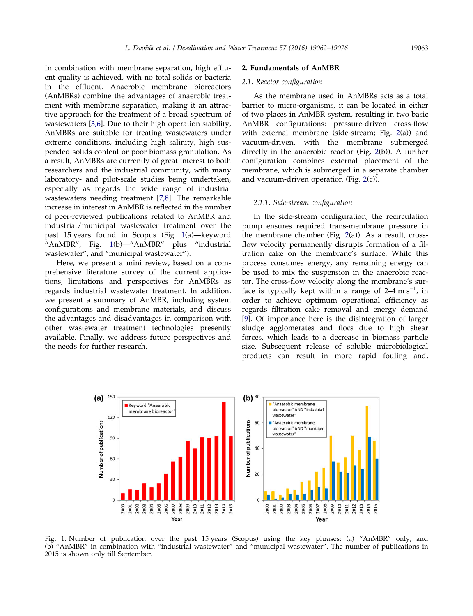<span id="page-1-0"></span>In combination with membrane separation, high effluent quality is achieved, with no total solids or bacteria in the effluent. Anaerobic membrane bioreactors (AnMBRs) combine the advantages of anaerobic treatment with membrane separation, making it an attractive approach for the treatment of a broad spectrum of wastewaters [[3,6\]](#page-11-0). Due to their high operation stability, AnMBRs are suitable for treating wastewaters under extreme conditions, including high salinity, high suspended solids content or poor biomass granulation. As a result, AnMBRs are currently of great interest to both researchers and the industrial community, with many laboratory- and pilot-scale studies being undertaken, especially as regards the wide range of industrial wastewaters needing treatment [\[7,8](#page-11-0)]. The remarkable increase in interest in AnMBR is reflected in the number of peer-reviewed publications related to AnMBR and industrial/municipal wastewater treatment over the past 15 years found in Scopus (Fig. 1(a)—keyword "AnMBR", Fig. 1(b)—"AnMBR" plus "industrial wastewater", and "municipal wastewater").

Here, we present a mini review, based on a comprehensive literature survey of the current applications, limitations and perspectives for AnMBRs as regards industrial wastewater treatment. In addition, we present a summary of AnMBR, including system configurations and membrane materials, and discuss the advantages and disadvantages in comparison with other wastewater treatment technologies presently available. Finally, we address future perspectives and the needs for further research.

#### 2. Fundamentals of AnMBR

### 2.1. Reactor configuration

As the membrane used in AnMBRs acts as a total barrier to micro-organisms, it can be located in either of two places in AnMBR system, resulting in two basic AnMBR configurations: pressure-driven cross-flow with external membrane (side-stream; Fig. [2\(](#page-2-0)a)) and vacuum-driven, with the membrane submerged directly in the anaerobic reactor (Fig. [2](#page-2-0)(b)). A further configuration combines external placement of the membrane, which is submerged in a separate chamber and vacuum-driven operation (Fig. [2\(](#page-2-0)c)).

#### 2.1.1. Side-stream configuration

In the side-stream configuration, the recirculation pump ensures required trans-membrane pressure in the membrane chamber (Fig. [2\(](#page-2-0)a)). As a result, crossflow velocity permanently disrupts formation of a filtration cake on the membrane's surface. While this process consumes energy, any remaining energy can be used to mix the suspension in the anaerobic reactor. The cross-flow velocity along the membrane's surface is typically kept within a range of 2–4 m s<sup>-1</sup>, in order to achieve optimum operational efficiency as regards filtration cake removal and energy demand [\[9\]](#page-11-0). Of importance here is the disintegration of larger sludge agglomerates and flocs due to high shear forces, which leads to a decrease in biomass particle size. Subsequent release of soluble microbiological products can result in more rapid fouling and,



Fig. 1. Number of publication over the past 15 years (Scopus) using the key phrases; (a) "AnMBR" only, and (b) "AnMBR" in combination with "industrial wastewater" and "municipal wastewater". The number of publications in 2015 is shown only till September.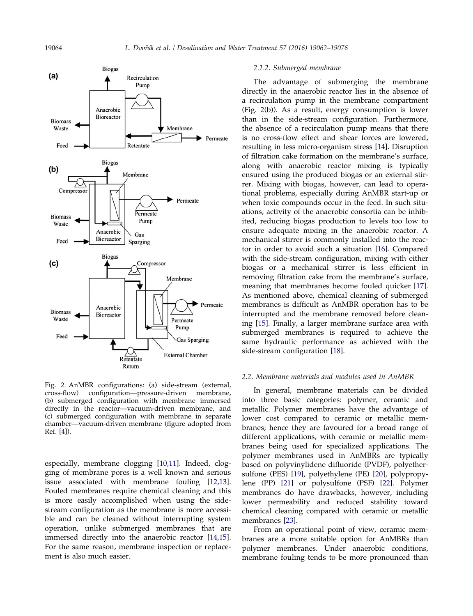<span id="page-2-0"></span>

Fig. 2. AnMBR configurations: (a) side-stream (external, cross-flow) configuration—pressure-driven membrane, (b) submerged configuration with membrane immersed directly in the reactor—vacuum-driven membrane, and (c) submerged configuration with membrane in separate chamber—vacuum-driven membrane (figure adopted from Ref. [\[4\]](#page-11-0)).

especially, membrane clogging [[10,11](#page-11-0)]. Indeed, clogging of membrane pores is a well known and serious issue associated with membrane fouling [\[12,13](#page-11-0)]. Fouled membranes require chemical cleaning and this is more easily accomplished when using the sidestream configuration as the membrane is more accessible and can be cleaned without interrupting system operation, unlike submerged membranes that are immersed directly into the anaerobic reactor [\[14,15](#page-11-0)]. For the same reason, membrane inspection or replacement is also much easier.

#### 2.1.2. Submerged membrane

The advantage of submerging the membrane directly in the anaerobic reactor lies in the absence of a recirculation pump in the membrane compartment (Fig. 2(b)). As a result, energy consumption is lower than in the side-stream configuration. Furthermore, the absence of a recirculation pump means that there is no cross-flow effect and shear forces are lowered, resulting in less micro-organism stress [\[14](#page-11-0)]. Disruption of filtration cake formation on the membrane's surface, along with anaerobic reactor mixing is typically ensured using the produced biogas or an external stirrer. Mixing with biogas, however, can lead to operational problems, especially during AnMBR start-up or when toxic compounds occur in the feed. In such situations, activity of the anaerobic consortia can be inhibited, reducing biogas production to levels too low to ensure adequate mixing in the anaerobic reactor. A mechanical stirrer is commonly installed into the reactor in order to avoid such a situation [[16](#page-11-0)]. Compared with the side-stream configuration, mixing with either biogas or a mechanical stirrer is less efficient in removing filtration cake from the membrane's surface, meaning that membranes become fouled quicker [[17](#page-11-0)]. As mentioned above, chemical cleaning of submerged membranes is difficult as AnMBR operation has to be interrupted and the membrane removed before cleaning [[15](#page-11-0)]. Finally, a larger membrane surface area with submerged membranes is required to achieve the same hydraulic performance as achieved with the side-stream configuration [\[18\]](#page-11-0).

## 2.2. Membrane materials and modules used in AnMBR

In general, membrane materials can be divided into three basic categories: polymer, ceramic and metallic. Polymer membranes have the advantage of lower cost compared to ceramic or metallic membranes; hence they are favoured for a broad range of different applications, with ceramic or metallic membranes being used for specialized applications. The polymer membranes used in AnMBRs are typically based on polyvinylidene difluoride (PVDF), polyethersulfone (PES) [\[19](#page-11-0)], polyethylene (PE) [[20](#page-11-0)], polypropylene (PP) [\[21](#page-11-0)] or polysulfone (PSF) [\[22\]](#page-11-0). Polymer membranes do have drawbacks, however, including lower permeability and reduced stability toward chemical cleaning compared with ceramic or metallic membranes [[23](#page-11-0)].

From an operational point of view, ceramic membranes are a more suitable option for AnMBRs than polymer membranes. Under anaerobic conditions, membrane fouling tends to be more pronounced than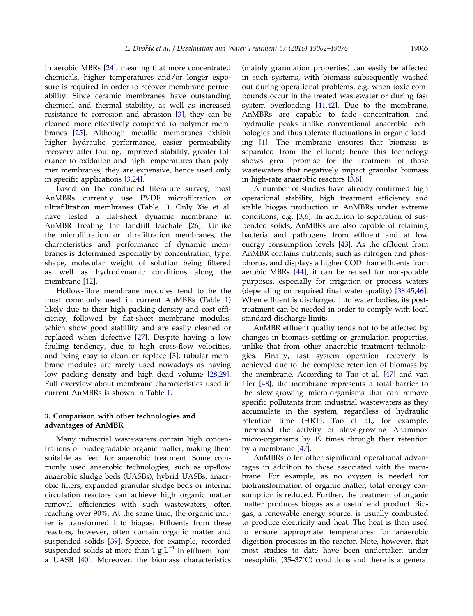in aerobic MBRs [[24](#page-11-0)]; meaning that more concentrated chemicals, higher temperatures and/or longer exposure is required in order to recover membrane permeability. Since ceramic membranes have outstanding chemical and thermal stability, as well as increased resistance to corrosion and abrasion [\[3](#page-11-0)], they can be cleaned more effectively compared to polymer membranes [\[25\]](#page-11-0). Although metallic membranes exhibit higher hydraulic performance, easier permeability recovery after fouling, improved stability, greater tolerance to oxidation and high temperatures than polymer membranes, they are expensive, hence used only in specific applications [\[3,24](#page-11-0)].

Based on the conducted literature survey, most AnMBRs currently use PVDF microfiltration or ultrafiltration membranes (Table [1](#page-4-0)). Only Xie et al. have tested a flat-sheet dynamic membrane in AnMBR treating the landfill leachate [\[26\]](#page-11-0). Unlike the microfiltration or ultrafiltration membranes, the characteristics and performance of dynamic membranes is determined especially by concentration, type, shape, molecular weight of solution being filtered as well as hydrodynamic conditions along the membrane [\[12\]](#page-11-0).

Hollow-fibre membrane modules tend to be the most commonly used in current AnMBRs (Table [1\)](#page-4-0) likely due to their high packing density and cost efficiency, followed by flat-sheet membrane modules, which show good stability and are easily cleaned or replaced when defective [\[27\]](#page-11-0). Despite having a low fouling tendency, due to high cross-flow velocities, and being easy to clean or replace [[3\]](#page-11-0), tubular membrane modules are rarely used nowadays as having low packing density and high dead volume [\[28,29](#page-11-0)]. Full overview about membrane characteristics used in current AnMBRs is shown in Table [1.](#page-4-0)

## 3. Comparison with other technologies and advantages of AnMBR

Many industrial wastewaters contain high concentrations of biodegradable organic matter, making them suitable as feed for anaerobic treatment. Some commonly used anaerobic technologies, such as up-flow anaerobic sludge beds (UASBs), hybrid UASBs, anaerobic filters, expanded granular sludge beds or internal circulation reactors can achieve high organic matter removal efficiencies with such wastewaters, often reaching over 90%. At the same time, the organic matter is transformed into biogas. Effluents from these reactors, however, often contain organic matter and suspended solids [\[39](#page-12-0)]. Speece, for example, recorded suspended solids at more than 1 g  $L^{-1}$  in effluent from a UASB [\[40\]](#page-12-0). Moreover, the biomass characteristics (mainly granulation properties) can easily be affected in such systems, with biomass subsequently washed out during operational problems, e.g. when toxic compounds occur in the treated wastewater or during fast system overloading [[41,42\]](#page-12-0). Due to the membrane, AnMBRs are capable to fade concentration and hydraulic peaks unlike conventional anaerobic technologies and thus tolerate fluctuations in organic loading [\[1](#page-11-0)]. The membrane ensures that biomass is separated from the effluent; hence this technology shows great promise for the treatment of those wastewaters that negatively impact granular biomass in high-rate anaerobic reactors [\[3,6](#page-11-0)].

A number of studies have already confirmed high operational stability, high treatment efficiency and stable biogas production in AnMBRs under extreme conditions, e.g. [\[3,6](#page-11-0)]. In addition to separation of suspended solids, AnMBRs are also capable of retaining bacteria and pathogens from effluent and at low energy consumption levels [\[43\]](#page-12-0). As the effluent from AnMBR contains nutrients, such as nitrogen and phosphorus, and displays a higher COD than effluents from aerobic MBRs [\[44\]](#page-12-0), it can be reused for non-potable purposes, especially for irrigation or process waters (depending on required final water quality) [\[38,45,46](#page-12-0)]. When effluent is discharged into water bodies, its posttreatment can be needed in order to comply with local standard discharge limits.

AnMBR effluent quality tends not to be affected by changes in biomass settling or granulation properties, unlike that from other anaerobic treatment technologies. Finally, fast system operation recovery is achieved due to the complete retention of biomass by the membrane. According to Tao et al. [\[47\]](#page-12-0) and van Lier [\[48\]](#page-12-0), the membrane represents a total barrier to the slow-growing micro-organisms that can remove specific pollutants from industrial wastewaters as they accumulate in the system, regardless of hydraulic retention time (HRT). Tao et al., for example, increased the activity of slow-growing Anammox micro-organisms by 19 times through their retention by a membrane [\[47](#page-12-0)].

AnMBRs offer other significant operational advantages in addition to those associated with the membrane. For example, as no oxygen is needed for biotransformation of organic matter, total energy consumption is reduced. Further, the treatment of organic matter produces biogas as a useful end product. Biogas, a renewable energy source, is usually combusted to produce electricity and heat. The heat is then used to ensure appropriate temperatures for anaerobic digestion processes in the reactor. Note, however, that most studies to date have been undertaken under mesophilic (35–37˚C) conditions and there is a general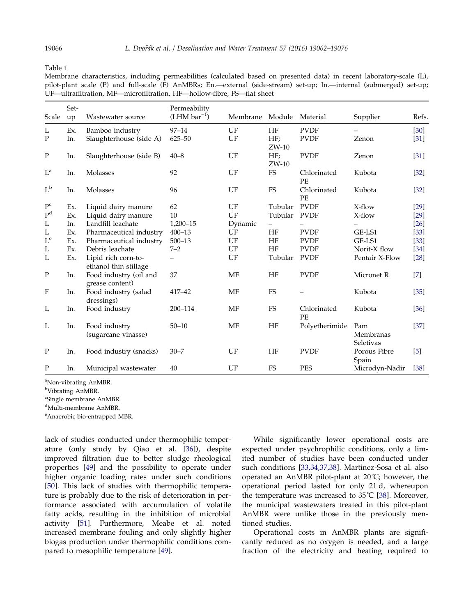<span id="page-4-0"></span>Table 1

Membrane characteristics, including permeabilities (calculated based on presented data) in recent laboratory-scale (L), pilot-plant scale (P) and full-scale (F) AnMBRs; En.—external (side-stream) set-up; In.—internal (submerged) set-up; UF—ultrafiltration, MF—microfiltration, HF—hollow-fibre, FS—flat sheet

| Scale                     | Set-<br>up | Wastewater source                            | Permeability<br>$(LHM bar^{-1})$ | Membrane Module |                | Material          | Supplier                      | Refs.  |
|---------------------------|------------|----------------------------------------------|----------------------------------|-----------------|----------------|-------------------|-------------------------------|--------|
| L                         | Ex.        | Bamboo industry                              | $97 - 14$                        | UF              | HF             | <b>PVDF</b>       |                               | $[30]$ |
| P                         | In.        | Slaughterhouse (side A)                      | $625 - 50$                       | UF              | HF;<br>$ZW-10$ | <b>PVDF</b>       | Zenon                         | $[31]$ |
| $\mathbf P$               | In.        | Slaughterhouse (side B)                      | $40 - 8$                         | UF              | HF;<br>$ZW-10$ | <b>PVDF</b>       | Zenon                         | $[31]$ |
| $L^a$                     | In.        | Molasses                                     | 92                               | UF              | FS             | Chlorinated<br>PE | Kubota                        | [32]   |
| $L^b$                     | In.        | Molasses                                     | 96                               | UF              | ${\rm FS}$     | Chlorinated<br>PE | Kubota                        | $[32]$ |
| $\mathbf{P}^\mathrm{c}$   | Ex.        | Liquid dairy manure                          | 62                               | UF              | Tubular        | <b>PVDF</b>       | $X$ -flow                     | $[29]$ |
| P <sup>d</sup>            | Ex.        | Liquid dairy manure                          | 10                               | UF              | Tubular        | <b>PVDF</b>       | X-flow                        | $[29]$ |
| L                         | In.        | Landfill leachate                            | 1,200-15                         | Dynamic         |                |                   |                               | $[26]$ |
| L                         | Ex.        | Pharmaceutical industry                      | $400 - 13$                       | UF              | HF             | <b>PVDF</b>       | GE-LS1                        | $[33]$ |
| $\mathcal{L}^{\text{e}}$  | Ex.        | Pharmaceutical industry                      | $500 - 13$                       | UF              | HF             | <b>PVDF</b>       | GE-LS1                        | $[33]$ |
| L                         | Ex.        | Debris leachate                              | $7 - 2$                          | UF              | HF             | <b>PVDF</b>       | Norit-X flow                  | $[34]$ |
| L                         | Ex.        | Lipid rich corn-to-<br>ethanol thin stillage |                                  | UF              | Tubular        | <b>PVDF</b>       | Pentair X-Flow                | $[28]$ |
| $\mathbf P$               | In.        | Food industry (oil and<br>grease content)    | 37                               | MF              | HF             | <b>PVDF</b>       | Micronet R                    | $[7]$  |
| $\boldsymbol{\mathrm{F}}$ | In.        | Food industry (salad<br>dressings)           | 417-42                           | <b>MF</b>       | <b>FS</b>      |                   | Kubota                        | $[35]$ |
| L                         | In.        | Food industry                                | 200-114                          | MF              | FS             | Chlorinated<br>PE | Kubota                        | [36]   |
| L                         | In.        | Food industry<br>(sugarcane vinasse)         | $50 - 10$                        | MF              | HF             | Polyetherimide    | Pam<br>Membranas<br>Seletivas | $[37]$ |
| $\mathbf P$               | In.        | Food industry (snacks)                       | $30 - 7$                         | UF              | HF             | <b>PVDF</b>       | Porous Fibre<br>Spain         | $[5]$  |
| P                         | In.        | Municipal wastewater                         | 40                               | UF              | <b>FS</b>      | <b>PES</b>        | Microdyn-Nadir                | $[38]$ |

<sup>a</sup>Non-vibrating AnMBR.

<sup>b</sup>Vibrating AnMBR.

c Single membrane AnMBR.

d Multi-membrane AnMBR.

<sup>e</sup> Anaerobic bio-entrapped MBR.

lack of studies conducted under thermophilic temperature (only study by Qiao et al. [\[36](#page-12-0)]), despite improved filtration due to better sludge rheological properties [[49](#page-12-0)] and the possibility to operate under higher organic loading rates under such conditions [[50\]](#page-12-0). This lack of studies with thermophilic temperature is probably due to the risk of deterioration in performance associated with accumulation of volatile fatty acids, resulting in the inhibition of microbial activity [\[51\]](#page-12-0). Furthermore, Meabe et al. noted increased membrane fouling and only slightly higher biogas production under thermophilic conditions compared to mesophilic temperature [\[49\]](#page-12-0).

While significantly lower operational costs are expected under psychrophilic conditions, only a limited number of studies have been conducted under such conditions [[33,34,37,38\]](#page-12-0). Martinez-Sosa et al. also operated an AnMBR pilot-plant at 20˚C; however, the operational period lasted for only 21 d, whereupon the temperature was increased to 35˚C [[38](#page-12-0)]. Moreover, the municipal wastewaters treated in this pilot-plant AnMBR were unlike those in the previously mentioned studies.

Operational costs in AnMBR plants are significantly reduced as no oxygen is needed, and a large fraction of the electricity and heating required to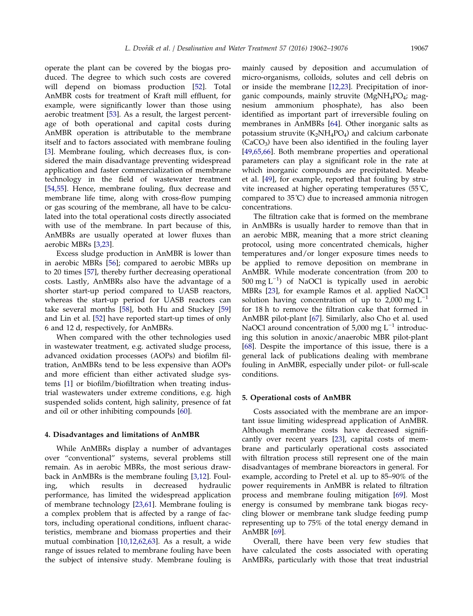operate the plant can be covered by the biogas produced. The degree to which such costs are covered will depend on biomass production [\[52\]](#page-12-0). Total AnMBR costs for treatment of Kraft mill effluent, for example, were significantly lower than those using aerobic treatment [[53](#page-12-0)]. As a result, the largest percentage of both operational and capital costs during AnMBR operation is attributable to the membrane itself and to factors associated with membrane fouling [[3\]](#page-11-0). Membrane fouling, which decreases flux, is considered the main disadvantage preventing widespread application and faster commercialization of membrane technology in the field of wastewater treatment [[54,55\]](#page-12-0). Hence, membrane fouling, flux decrease and membrane life time, along with cross-flow pumping or gas scouring of the membrane, all have to be calcu-

lated into the total operational costs directly associated with use of the membrane. In part because of this, AnMBRs are usually operated at lower fluxes than aerobic MBRs [\[3,23](#page-11-0)].

Excess sludge production in AnMBR is lower than in aerobic MBRs [[56](#page-12-0)]; compared to aerobic MBRs up to 20 times [[57\]](#page-12-0), thereby further decreasing operational costs. Lastly, AnMBRs also have the advantage of a shorter start-up period compared to UASB reactors, whereas the start-up period for UASB reactors can take several months [\[58\]](#page-12-0), both Hu and Stuckey [[59\]](#page-13-0) and Lin et al. [[52](#page-12-0)] have reported start-up times of only 6 and 12 d, respectively, for AnMBRs.

When compared with the other technologies used in wastewater treatment, e.g. activated sludge process, advanced oxidation processes (AOPs) and biofilm filtration, AnMBRs tend to be less expensive than AOPs and more efficient than either activated sludge systems [[1\]](#page-11-0) or biofilm/biofiltration when treating industrial wastewaters under extreme conditions, e.g. high suspended solids content, high salinity, presence of fat and oil or other inhibiting compounds [\[60\]](#page-13-0).

#### 4. Disadvantages and limitations of AnMBR

While AnMBRs display a number of advantages over "conventional" systems, several problems still remain. As in aerobic MBRs, the most serious drawback in AnMBRs is the membrane fouling [\[3,12](#page-11-0)]. Fouling, which results in decreased hydraulic performance, has limited the widespread application of membrane technology [\[23,61](#page-11-0)]. Membrane fouling is a complex problem that is affected by a range of factors, including operational conditions, influent characteristics, membrane and biomass properties and their mutual combination [\[10,12,62,63](#page-11-0)]. As a result, a wide range of issues related to membrane fouling have been the subject of intensive study. Membrane fouling is

mainly caused by deposition and accumulation of micro-organisms, colloids, solutes and cell debris on or inside the membrane [\[12,23\]](#page-11-0). Precipitation of inorganic compounds, mainly struvite  $(MgNH_4PO_4)$ ; magnesium ammonium phosphate), has also been identified as important part of irreversible fouling on membranes in AnMBRs [[64](#page-13-0)]. Other inorganic salts as potassium struvite  $(K_2NH_4PO_4)$  and calcium carbonate  $(CaCO<sub>3</sub>)$  have been also identified in the fouling layer [\[49,65,66\]](#page-12-0). Both membrane properties and operational parameters can play a significant role in the rate at which inorganic compounds are precipitated. Meabe et al. [\[49\]](#page-12-0), for example, reported that fouling by struvite increased at higher operating temperatures (55˚C, compared to 35˚C) due to increased ammonia nitrogen concentrations.

The filtration cake that is formed on the membrane in AnMBRs is usually harder to remove than that in an aerobic MBR, meaning that a more strict cleaning protocol, using more concentrated chemicals, higher temperatures and/or longer exposure times needs to be applied to remove deposition on membrane in AnMBR. While moderate concentration (from 200 to 500 mg L−<sup>1</sup> ) of NaOCl is typically used in aerobic MBRs [\[23](#page-11-0)], for example Ramos et al. applied NaOCl solution having concentration of up to 2,000 mg  $L^{-1}$ for 18 h to remove the filtration cake that formed in AnMBR pilot-plant [[67\]](#page-13-0). Similarly, also Cho et al. used NaOCl around concentration of 5,000 mg  $L^{-1}$  introducing this solution in anoxic/anaerobic MBR pilot-plant [\[68\]](#page-13-0). Despite the importance of this issue, there is a general lack of publications dealing with membrane fouling in AnMBR, especially under pilot- or full-scale conditions.

#### 5. Operational costs of AnMBR

Costs associated with the membrane are an important issue limiting widespread application of AnMBR. Although membrane costs have decreased significantly over recent years [\[23](#page-11-0)], capital costs of membrane and particularly operational costs associated with filtration process still represent one of the main disadvantages of membrane bioreactors in general. For example, according to Pretel et al. up to 85–90% of the power requirements in AnMBR is related to filtration process and membrane fouling mitigation [[69\]](#page-13-0). Most energy is consumed by membrane tank biogas recycling blower or membrane tank sludge feeding pump representing up to 75% of the total energy demand in AnMBR [\[69\]](#page-13-0).

Overall, there have been very few studies that have calculated the costs associated with operating AnMBRs, particularly with those that treat industrial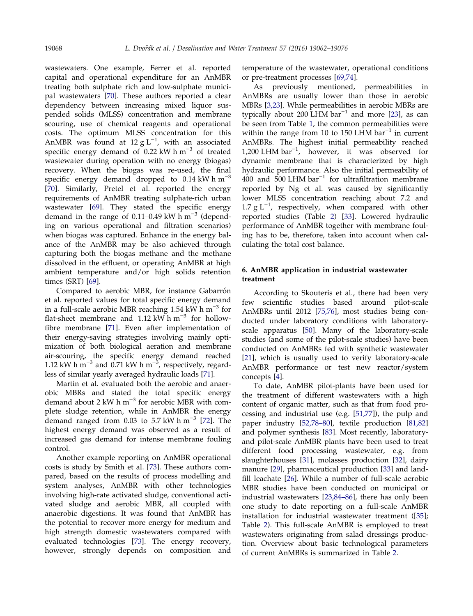wastewaters. One example, Ferrer et al. reported capital and operational expenditure for an AnMBR treating both sulphate rich and low-sulphate municipal wastewaters [[70](#page-13-0)]. These authors reported a clear dependency between increasing mixed liquor suspended solids (MLSS) concentration and membrane scouring, use of chemical reagents and operational costs. The optimum MLSS concentration for this AnMBR was found at 12  $g L^{-1}$ , with an associated specific energy demand of 0.22 kW h m−<sup>3</sup> of treated wastewater during operation with no energy (biogas) recovery. When the biogas was re-used, the final specific energy demand dropped to  $0.14 \text{ kW h m}^{-3}$ [[70\]](#page-13-0). Similarly, Pretel et al. reported the energy requirements of AnMBR treating sulphate-rich urban wastewater [[69](#page-13-0)]. They stated the specific energy demand in the range of 0.11–0.49 kW  $h$  m<sup>-3</sup> (depending on various operational and filtration scenarios) when biogas was captured. Enhance in the energy balance of the AnMBR may be also achieved through capturing both the biogas methane and the methane dissolved in the effluent, or operating AnMBR at high ambient temperature and/or high solids retention times (SRT) [[69](#page-13-0)].

Compared to aerobic MBR, for instance Gabarrón et al. reported values for total specific energy demand in a full-scale aerobic MBR reaching 1.54 kW h  $m^{-3}$  for flat-sheet membrane and 1.12 kW  $h m^{-3}$  for hollowfibre membrane [\[71\]](#page-13-0). Even after implementation of their energy-saving strategies involving mainly optimization of both biological aeration and membrane air-scouring, the specific energy demand reached 1.12 kW h  $\text{m}^{-3}$  and 0.71 kW h  $\text{m}^{-3}$ , respectively, regardless of similar yearly averaged hydraulic loads [\[71\]](#page-13-0).

Martin et al. evaluated both the aerobic and anaerobic MBRs and stated the total specific energy demand about 2 kW h m−<sup>3</sup> for aerobic MBR with complete sludge retention, while in AnMBR the energy demand ranged from 0.03 to 5.7 kW h  $\text{m}^{-3}$  [\[72\]](#page-13-0). The highest energy demand was observed as a result of increased gas demand for intense membrane fouling control.

Another example reporting on AnMBR operational costs is study by Smith et al. [[73](#page-13-0)]. These authors compared, based on the results of process modelling and system analyses, AnMBR with other technologies involving high-rate activated sludge, conventional activated sludge and aerobic MBR, all coupled with anaerobic digestions. It was found that AnMBR has the potential to recover more energy for medium and high strength domestic wastewaters compared with evaluated technologies [[73\]](#page-13-0). The energy recovery, however, strongly depends on composition and temperature of the wastewater, operational conditions or pre-treatment processes [[69,74\]](#page-13-0).

As previously mentioned, permeabilities in AnMBRs are usually lower than those in aerobic MBRs [\[3,23](#page-11-0)]. While permeabilities in aerobic MBRs are typically about 200 LHM bar<sup>-1</sup> and more [[23](#page-11-0)], as can be seen from Table [1](#page-4-0), the common permeabilities were within the range from 10 to 150 LHM bar<sup>-1</sup> in current AnMBRs. The highest initial permeability reached 1,200 LHM bar−<sup>1</sup> , however, it was observed for dynamic membrane that is characterized by high hydraulic performance. Also the initial permeability of 400 and 500 LHM bar−<sup>1</sup> for ultrafiltration membrane reported by Ng et al. was caused by significantly lower MLSS concentration reaching about 7.2 and 1.7 g  $L^{-1}$ , respectively, when compared with other reported studies (Table [2\)](#page-7-0) [[33](#page-12-0)]. Lowered hydraulic performance of AnMBR together with membrane fouling has to be, therefore, taken into account when calculating the total cost balance.

## 6. AnMBR application in industrial wastewater treatment

According to Skouteris et al., there had been very few scientific studies based around pilot-scale AnMBRs until 2012 [\[75,76](#page-13-0)], most studies being conducted under laboratory conditions with laboratoryscale apparatus [\[50\]](#page-12-0). Many of the laboratory-scale studies (and some of the pilot-scale studies) have been conducted on AnMBRs fed with synthetic wastewater [\[21\]](#page-11-0), which is usually used to verify laboratory-scale AnMBR performance or test new reactor/system concepts [[4](#page-11-0)].

To date, AnMBR pilot-plants have been used for the treatment of different wastewaters with a high content of organic matter, such as that from food processing and industrial use (e.g. [\[51,77](#page-12-0)]), the pulp and paper industry [\[52,78–80](#page-12-0)], textile production [[81,82\]](#page-13-0) and polymer synthesis [[83\]](#page-13-0). Most recently, laboratoryand pilot-scale AnMBR plants have been used to treat different food processing wastewater, e.g. from slaughterhouses [[31](#page-12-0)], molasses production [[32\]](#page-12-0), dairy manure [[29](#page-11-0)], pharmaceutical production [[33](#page-12-0)] and landfill leachate [[26](#page-11-0)]. While a number of full-scale aerobic MBR studies have been conducted on municipal or industrial wastewaters [\[23,84–86\]](#page-11-0), there has only been one study to date reporting on a full-scale AnMBR installation for industrial wastewater treatment ([[35](#page-12-0)]; Table [2\)](#page-7-0). This full-scale AnMBR is employed to treat wastewaters originating from salad dressings production. Overview about basic technological parameters of current AnMBRs is summarized in Table [2.](#page-7-0)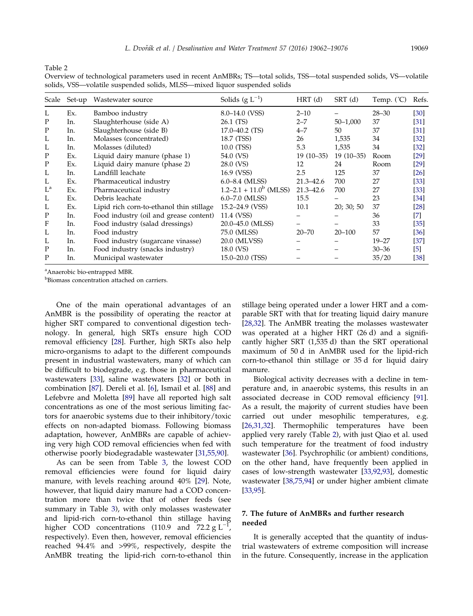<span id="page-7-0"></span>Table 2

Overview of technological parameters used in recent AnMBRs; TS—total solids, TSS—total suspended solids, VS—volatile solids, VSS—volatile suspended solids, MLSS—mixed liquor suspended solids

| Scale       | Set-up | Wastewater source                        | Solids $(g L^{-1})$         | $HRT$ (d)     | $SRT$ (d)    | Temp. (°C) | Refs.  |
|-------------|--------|------------------------------------------|-----------------------------|---------------|--------------|------------|--------|
| L           | Ex.    | Bamboo industry                          | 8.0–14.0 (VSS)              | $2 - 10$      |              | $28 - 30$  | [30]   |
| $\mathbf P$ | In.    | Slaughterhouse (side A)                  | 26.1 (TS)                   | $2 - 7$       | $50 - 1,000$ | 37         | [31]   |
| P           | In.    | Slaughterhouse (side B)                  | $17.0 - 40.2$ (TS)          | $4 - 7$       | 50           | 37         | [31]   |
| L           | In.    | Molasses (concentrated)                  | 18.7 (TSS)                  | 26            | 1,535        | 34         | $[32]$ |
| L           | In.    | Molasses (diluted)                       | 10.0 (TSS)                  | 5.3           | 1,535        | 34         | $[32]$ |
| P           | Ex.    | Liquid dairy manure (phase 1)            | 54.0 (VS)                   | $19(10-35)$   | $19(10-35)$  | Room       | [29]   |
| $\mathbf P$ | Ex.    | Liquid dairy manure (phase 2)            | 28.0 (VS)                   | 12            | 24           | Room       | [29]   |
| L           | In.    | Landfill leachate                        | 16.9 (VSS)                  | 2.5           | 125          | 37         | [26]   |
| L           | Ex.    | Pharmaceutical industry                  | $6.0 - 8.4$ (MLSS)          | $21.3 - 42.6$ | 700          | 27         | [33]   |
| $L^{a}$     | Ex.    | Pharmaceutical industry                  | $1.2 - 2.1 + 11.0^b$ (MLSS) | $21.3 - 42.6$ | 700          | 27         | [33]   |
| L           | Ex.    | Debris leachate                          | $6.0 - 7.0$ (MLSS)          | 15.5          |              | 23         | [34]   |
| L           | Ex.    | Lipid rich corn-to-ethanol thin stillage | 15.2–24.9 (VSS)             | 10.1          | 20; 30; 50   | 37         | [28]   |
| P           | In.    | Food industry (oil and grease content)   | 11.4 (VSS)                  |               |              | 36         | [7]    |
| F           | In.    | Food industry (salad dressings)          | 20.0–45.0 (MLSS)            |               |              | 33         | [35]   |
| L           | In.    | Food industry                            | 75.0 (MLSS)                 | $20 - 70$     | $20 - 100$   | 57         | [36]   |
| L           | In.    | Food industry (sugarcane vinasse)        | 20.0 (MLVSS)                |               |              | $19 - 27$  | [37]   |
| $\mathbf P$ | In.    | Food industry (snacks industry)          | 18.0 (VS)                   |               |              | $30 - 36$  | $[5]$  |
| P           | In.    | Municipal wastewater                     | $15.0 - 20.0$ (TSS)         |               |              | 35/20      | [38]   |

<sup>a</sup>Anaerobic bio-entrapped MBR.

<sup>b</sup>Biomass concentration attached on carriers.

One of the main operational advantages of an AnMBR is the possibility of operating the reactor at higher SRT compared to conventional digestion technology. In general, high SRTs ensure high COD removal efficiency [[28](#page-11-0)]. Further, high SRTs also help micro-organisms to adapt to the different compounds present in industrial wastewaters, many of which can be difficult to biodegrade, e.g. those in pharmaceutical wastewaters [[33](#page-12-0)], saline wastewaters [\[32\]](#page-12-0) or both in combination [[87\]](#page-13-0). Dereli et al. [[6\]](#page-11-0), Ismail et al. [\[88\]](#page-13-0) and Lefebvre and Moletta [[89\]](#page-13-0) have all reported high salt concentrations as one of the most serious limiting factors for anaerobic systems due to their inhibitory/toxic effects on non-adapted biomass. Following biomass adaptation, however, AnMBRs are capable of achieving very high COD removal efficiencies when fed with otherwise poorly biodegradable wastewater [\[31,55,90](#page-12-0)].

As can be seen from Table [3,](#page-8-0) the lowest COD removal efficiencies were found for liquid dairy manure, with levels reaching around 40% [\[29](#page-11-0)]. Note, however, that liquid dairy manure had a COD concentration more than twice that of other feeds (see summary in Table [3\)](#page-8-0), with only molasses wastewater and lipid-rich corn-to-ethanol thin stillage having higher COD concentrations (110.9 and  $72.2 g L^{-1}$ , respectively). Even then, however, removal efficiencies reached 94.4% and >99%, respectively, despite the AnMBR treating the lipid-rich corn-to-ethanol thin stillage being operated under a lower HRT and a comparable SRT with that for treating liquid dairy manure [\[28,32\]](#page-11-0). The AnMBR treating the molasses wastewater was operated at a higher HRT (26 d) and a significantly higher SRT (1,535 d) than the SRT operational maximum of 50 d in AnMBR used for the lipid-rich corn-to-ethanol thin stillage or 35 d for liquid dairy manure.

Biological activity decreases with a decline in temperature and, in anaerobic systems, this results in an associated decrease in COD removal efficiency [[91](#page-14-0)]. As a result, the majority of current studies have been carried out under mesophilic temperatures, e.g. [\[26,31,32\]](#page-11-0). Thermophilic temperatures have been applied very rarely (Table 2), with just Qiao et al. used such temperature for the treatment of food industry wastewater [\[36](#page-12-0)]. Psychrophilic (or ambient) conditions, on the other hand, have frequently been applied in cases of low-strength wastewater [[33,92,93\]](#page-12-0), domestic wastewater [[38,75,94\]](#page-12-0) or under higher ambient climate [\[33,95\]](#page-12-0).

## 7. The future of AnMBRs and further research needed

It is generally accepted that the quantity of industrial wastewaters of extreme composition will increase in the future. Consequently, increase in the application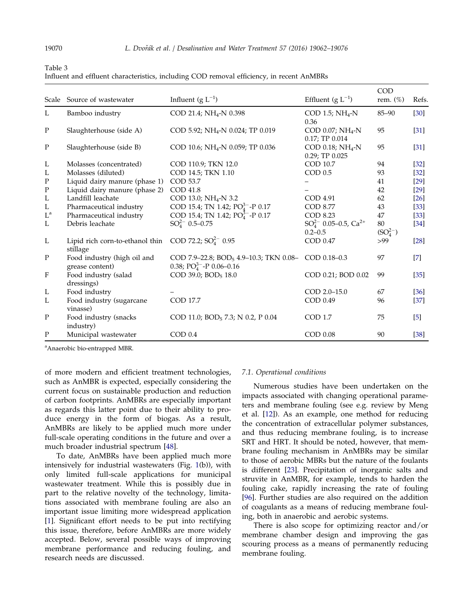<span id="page-8-0"></span>Table 3

| Scale                     | Source of wastewater                                                   | Influent (g $L^{-1}$ )                                          | Effluent (g $L^{-1}$ )                         | COD<br>rem. $(\%)$  | Refs.             |
|---------------------------|------------------------------------------------------------------------|-----------------------------------------------------------------|------------------------------------------------|---------------------|-------------------|
| L                         | Bamboo industry                                                        | COD 21.4; NH <sub>4</sub> -N 0.398                              | COD 1.5; $NH_4-N$<br>0.36                      | 85-90               | $[30]$            |
| $\mathbf P$               | Slaughterhouse (side A)                                                | COD 5.92; NH <sub>4</sub> -N 0.024; TP 0.019                    | COD 0.07; $NH4-N$<br>$0.17;$ TP $0.014$        | 95                  | [31]              |
| $\mathbf P$               | Slaughterhouse (side B)                                                | COD 10.6; NH <sub>4</sub> -N 0.059; TP 0.036                    | COD 0.18; $NH_4-N$<br>0.29; TP 0.025           | 95                  | $[31]$            |
| L                         | Molasses (concentrated)                                                | COD 110.9; TKN 12.0                                             | COD 10.7                                       | 94                  | [32]              |
| L                         | Molasses (diluted)                                                     | COD 14.5; TKN 1.10                                              | COD 0.5                                        | 93                  | $[32]$            |
| $\mathbf P$               | Liquid dairy manure (phase 1)                                          | COD 53.7                                                        |                                                | 41                  | $[29]$            |
| ${\bf P}$                 | Liquid dairy manure (phase 2)                                          | COD 41.8                                                        |                                                | 42                  | $[29]$            |
| L                         | Landfill leachate                                                      | COD 13.0; NH <sub>4</sub> -N 3.2                                | COD 4.91                                       | 62                  | $[26]$            |
| L                         | Pharmaceutical industry                                                | COD 15.4; TN 1.42; $PO_4^{3-}$ -P 0.17                          | <b>COD 8.77</b>                                | 43                  | $[33]$            |
| $L^a$                     | Pharmaceutical industry                                                | COD 15.4; TN 1.42; PO <sub>4</sub> <sup>3-</sup> -P 0.17        | COD 8.23                                       | 47                  | $[33]$            |
| L                         | Debris leachate                                                        | $SO_4^{2-}$ 0.5-0.75                                            | $SO_4^{2-}$ 0.05–0.5, $Ca^{2+}$<br>$0.2 - 0.5$ | 80<br>$(SO_4^{2-})$ | $[34]$            |
| L                         | Lipid rich corn-to-ethanol thin COD 72.2; $SO_4^{2-}$ 0.95<br>stillage |                                                                 | COD 0.47                                       | >99                 | $[28]$            |
| $\mathbf P$               | Food industry (high oil and                                            | COD 7.9-22.8; BOD <sub>5</sub> 4.9-10.3; TKN 0.08- COD 0.18-0.3 |                                                | 97                  | $\lceil 7 \rceil$ |
|                           | grease content)                                                        | 0.38; $PO_4^{3-}$ -P 0.06-0.16                                  |                                                |                     |                   |
| $\boldsymbol{\mathrm{F}}$ | Food industry (salad<br>dressings)                                     | COD 39.0; BOD <sub>5</sub> 18.0                                 | COD 0.21; BOD 0.02                             | 99                  | $[35]$            |
| L                         | Food industry                                                          |                                                                 | COD 2.0-15.0                                   | 67                  | [36]              |
| L                         | Food industry (sugarcane<br>vinasse)                                   | COD 17.7                                                        | COD 0.49                                       | 96                  | $[37]$            |
| $\mathbf P$               | Food industry (snacks<br>industry)                                     | COD 11.0; BOD <sub>5</sub> 7.3; N 0.2, P 0.04                   | <b>COD 1.7</b>                                 | 75                  | $\lceil 5 \rceil$ |
| $\mathbf{P}$              | Municipal wastewater                                                   | COD 0.4                                                         | COD 0.08                                       | 90                  | $[38]$            |

Influent and effluent characteristics, including COD removal efficiency, in recent AnMBRs

<sup>a</sup>Anaerobic bio-entrapped MBR.

of more modern and efficient treatment technologies, such as AnMBR is expected, especially considering the current focus on sustainable production and reduction of carbon footprints. AnMBRs are especially important as regards this latter point due to their ability to produce energy in the form of biogas. As a result, AnMBRs are likely to be applied much more under full-scale operating conditions in the future and over a much broader industrial spectrum [\[48\]](#page-12-0).

To date, AnMBRs have been applied much more intensively for industrial wastewaters (Fig. [1\(](#page-1-0)b)), with only limited full-scale applications for municipal wastewater treatment. While this is possibly due in part to the relative novelty of the technology, limitations associated with membrane fouling are also an important issue limiting more widespread application [[1\]](#page-11-0). Significant effort needs to be put into rectifying this issue, therefore, before AnMBRs are more widely accepted. Below, several possible ways of improving membrane performance and reducing fouling, and research needs are discussed.

### 7.1. Operational conditions

Numerous studies have been undertaken on the impacts associated with changing operational parameters and membrane fouling (see e.g. review by Meng et al. [[12](#page-11-0)]). As an example, one method for reducing the concentration of extracellular polymer substances, and thus reducing membrane fouling, is to increase SRT and HRT. It should be noted, however, that membrane fouling mechanism in AnMBRs may be similar to those of aerobic MBRs but the nature of the foulants is different [[23\]](#page-11-0). Precipitation of inorganic salts and struvite in AnMBR, for example, tends to harden the fouling cake, rapidly increasing the rate of fouling [\[96\]](#page-14-0). Further studies are also required on the addition of coagulants as a means of reducing membrane fouling, both in anaerobic and aerobic systems.

There is also scope for optimizing reactor and/or membrane chamber design and improving the gas scouring process as a means of permanently reducing membrane fouling.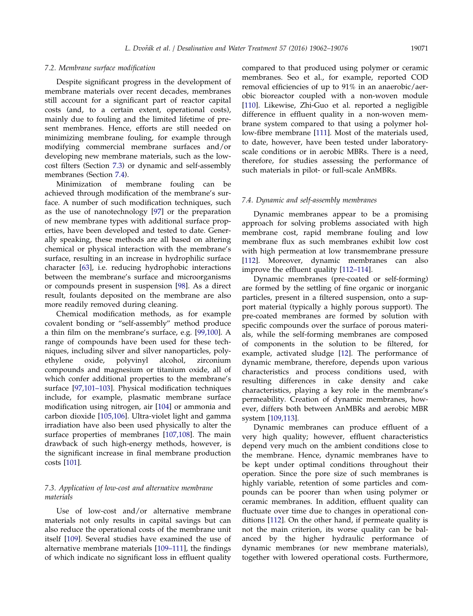## 7.2. Membrane surface modification

Despite significant progress in the development of membrane materials over recent decades, membranes still account for a significant part of reactor capital costs (and, to a certain extent, operational costs), mainly due to fouling and the limited lifetime of present membranes. Hence, efforts are still needed on minimizing membrane fouling, for example through modifying commercial membrane surfaces and/or developing new membrane materials, such as the lowcost filters (Section 7.3) or dynamic and self-assembly membranes (Section 7.4).

Minimization of membrane fouling can be achieved through modification of the membrane's surface. A number of such modification techniques, such as the use of nanotechnology [\[97\]](#page-14-0) or the preparation of new membrane types with additional surface properties, have been developed and tested to date. Generally speaking, these methods are all based on altering chemical or physical interaction with the membrane's surface, resulting in an increase in hydrophilic surface character [[63](#page-13-0)], i.e. reducing hydrophobic interactions between the membrane's surface and microorganisms or compounds present in suspension [\[98\]](#page-14-0). As a direct result, foulants deposited on the membrane are also more readily removed during cleaning.

Chemical modification methods, as for example covalent bonding or "self-assembly" method produce a thin film on the membrane's surface, e.g. [\[99,100](#page-14-0)]. A range of compounds have been used for these techniques, including silver and silver nanoparticles, polyethylene oxide, polyvinyl alcohol, zirconium compounds and magnesium or titanium oxide, all of which confer additional properties to the membrane's surface [\[97,101–103](#page-14-0)]. Physical modification techniques include, for example, plasmatic membrane surface modification using nitrogen, air [\[104\]](#page-14-0) or ammonia and carbon dioxide [\[105,106\]](#page-14-0). Ultra-violet light and gamma irradiation have also been used physically to alter the surface properties of membranes [\[107,108\]](#page-14-0). The main drawback of such high-energy methods, however, is the significant increase in final membrane production costs [\[101\]](#page-14-0).

## 7.3. Application of low-cost and alternative membrane materials

Use of low-cost and/or alternative membrane materials not only results in capital savings but can also reduce the operational costs of the membrane unit itself [\[109\]](#page-14-0). Several studies have examined the use of alternative membrane materials [[109–111\]](#page-14-0), the findings of which indicate no significant loss in effluent quality compared to that produced using polymer or ceramic membranes. Seo et al., for example, reported COD removal efficiencies of up to 91% in an anaerobic/aerobic bioreactor coupled with a non-woven module [\[110\]](#page-14-0). Likewise, Zhi-Guo et al. reported a negligible difference in effluent quality in a non-woven membrane system compared to that using a polymer hollow-fibre membrane [\[111\]](#page-14-0). Most of the materials used, to date, however, have been tested under laboratoryscale conditions or in aerobic MBRs. There is a need, therefore, for studies assessing the performance of such materials in pilot- or full-scale AnMBRs.

## 7.4. Dynamic and self-assembly membranes

Dynamic membranes appear to be a promising approach for solving problems associated with high membrane cost, rapid membrane fouling and low membrane flux as such membranes exhibit low cost with high permeation at low transmembrane pressure [\[112\]](#page-14-0). Moreover, dynamic membranes can also improve the effluent quality [[112–114\]](#page-14-0).

Dynamic membranes (pre-coated or self-forming) are formed by the settling of fine organic or inorganic particles, present in a filtered suspension, onto a support material (typically a highly porous support). The pre-coated membranes are formed by solution with specific compounds over the surface of porous materials, while the self-forming membranes are composed of components in the solution to be filtered, for example, activated sludge [\[12](#page-11-0)]. The performance of dynamic membrane, therefore, depends upon various characteristics and process conditions used, with resulting differences in cake density and cake characteristics, playing a key role in the membrane's permeability. Creation of dynamic membranes, however, differs both between AnMBRs and aerobic MBR system [\[109,113\]](#page-14-0).

Dynamic membranes can produce effluent of a very high quality; however, effluent characteristics depend very much on the ambient conditions close to the membrane. Hence, dynamic membranes have to be kept under optimal conditions throughout their operation. Since the pore size of such membranes is highly variable, retention of some particles and compounds can be poorer than when using polymer or ceramic membranes. In addition, effluent quality can fluctuate over time due to changes in operational conditions [\[112\]](#page-14-0). On the other hand, if permeate quality is not the main criterion, its worse quality can be balanced by the higher hydraulic performance of dynamic membranes (or new membrane materials), together with lowered operational costs. Furthermore,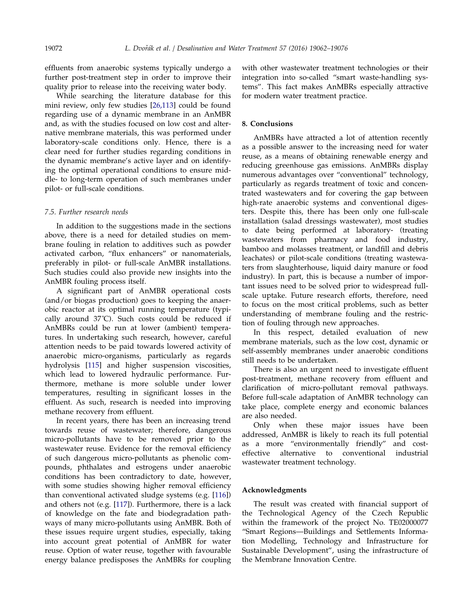effluents from anaerobic systems typically undergo a further post-treatment step in order to improve their quality prior to release into the receiving water body.

While searching the literature database for this mini review, only few studies [[26,113](#page-11-0)] could be found regarding use of a dynamic membrane in an AnMBR and, as with the studies focused on low cost and alternative membrane materials, this was performed under laboratory-scale conditions only. Hence, there is a clear need for further studies regarding conditions in the dynamic membrane's active layer and on identifying the optimal operational conditions to ensure middle- to long-term operation of such membranes under pilot- or full-scale conditions.

### 7.5. Further research needs

In addition to the suggestions made in the sections above, there is a need for detailed studies on membrane fouling in relation to additives such as powder activated carbon, "flux enhancers" or nanomaterials, preferably in pilot- or full-scale AnMBR installations. Such studies could also provide new insights into the AnMBR fouling process itself.

A significant part of AnMBR operational costs (and/or biogas production) goes to keeping the anaerobic reactor at its optimal running temperature (typically around 37˚C). Such costs could be reduced if AnMBRs could be run at lower (ambient) temperatures. In undertaking such research, however, careful attention needs to be paid towards lowered activity of anaerobic micro-organisms, particularly as regards hydrolysis [\[115\]](#page-14-0) and higher suspension viscosities, which lead to lowered hydraulic performance. Furthermore, methane is more soluble under lower temperatures, resulting in significant losses in the effluent. As such, research is needed into improving methane recovery from effluent.

In recent years, there has been an increasing trend towards reuse of wastewater; therefore, dangerous micro-pollutants have to be removed prior to the wastewater reuse. Evidence for the removal efficiency of such dangerous micro-pollutants as phenolic compounds, phthalates and estrogens under anaerobic conditions has been contradictory to date, however, with some studies showing higher removal efficiency than conventional activated sludge systems (e.g. [[116](#page-14-0)]) and others not (e.g. [[117](#page-14-0)]). Furthermore, there is a lack of knowledge on the fate and biodegradation pathways of many micro-pollutants using AnMBR. Both of these issues require urgent studies, especially, taking into account great potential of AnMBR for water reuse. Option of water reuse, together with favourable energy balance predisposes the AnMBRs for coupling

with other wastewater treatment technologies or their integration into so-called "smart waste-handling systems". This fact makes AnMBRs especially attractive for modern water treatment practice.

## 8. Conclusions

AnMBRs have attracted a lot of attention recently as a possible answer to the increasing need for water reuse, as a means of obtaining renewable energy and reducing greenhouse gas emissions. AnMBRs display numerous advantages over "conventional" technology, particularly as regards treatment of toxic and concentrated wastewaters and for covering the gap between high-rate anaerobic systems and conventional digesters. Despite this, there has been only one full-scale installation (salad dressings wastewater), most studies to date being performed at laboratory- (treating wastewaters from pharmacy and food industry, bamboo and molasses treatment, or landfill and debris leachates) or pilot-scale conditions (treating wastewaters from slaughterhouse, liquid dairy manure or food industry). In part, this is because a number of important issues need to be solved prior to widespread fullscale uptake. Future research efforts, therefore, need to focus on the most critical problems, such as better understanding of membrane fouling and the restriction of fouling through new approaches.

In this respect, detailed evaluation of new membrane materials, such as the low cost, dynamic or self-assembly membranes under anaerobic conditions still needs to be undertaken.

There is also an urgent need to investigate effluent post-treatment, methane recovery from effluent and clarification of micro-pollutant removal pathways. Before full-scale adaptation of AnMBR technology can take place, complete energy and economic balances are also needed.

Only when these major issues have been addressed, AnMBR is likely to reach its full potential as a more "environmentally friendly" and costeffective alternative to conventional industrial wastewater treatment technology.

#### Acknowledgments

The result was created with financial support of the Technological Agency of the Czech Republic within the framework of the project No. TE02000077 "Smart Regions—Buildings and Settlements Information Modelling, Technology and Infrastructure for Sustainable Development", using the infrastructure of the Membrane Innovation Centre.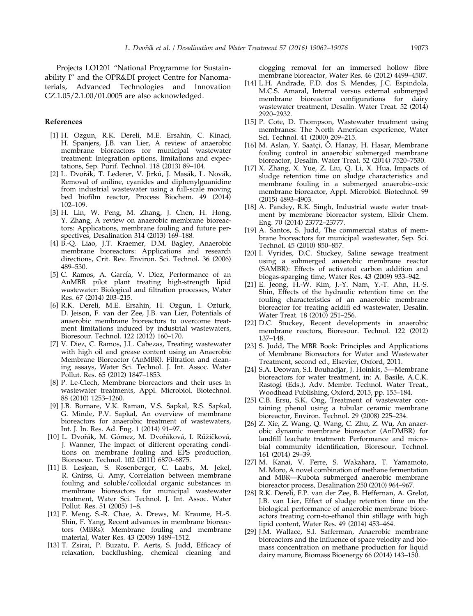<span id="page-11-0"></span>Projects LO1201 "National Programme for Sustainability I" and the OPR&DI project Centre for Nanomaterials, Advanced Technologies and Innovation CZ.1.05/2.1.00/01.0005 are also acknowledged.

## References

- [1] H. Ozgun, R.K. Dereli, M.E. Ersahin, C. Kinaci, H. Spanjers, J.B. van Lier, A review of anaerobic membrane bioreactors for municipal wastewater treatment: Integration options, limitations and expectations, Sep. Purif. Technol. 118 (2013) 89–104.
- [2] L. Dvořák, T. Lederer, V. Jirků, J. Masák, L. Novák, Removal of aniline, cyanides and diphenylguanidine from industrial wastewater using a full-scale moving bed biofilm reactor, Process Biochem. 49 (2014) 102–109.
- [3] H. Lin, W. Peng, M. Zhang, J. Chen, H. Hong, Y. Zhang, A review on anaerobic membrane bioreactors: Applications, membrane fouling and future perspectives, Desalination 314 (2013) 169-188.
- [4] B.-Q. Liao, J.T. Kraemer, D.M. Bagley, Anaerobic membrane bioreactors: Applications and research directions, Crit. Rev. Environ. Sci. Technol. 36 (2006) 489–530.
- [5] C. Ramos, A. García, V. Diez, Performance of an AnMBR pilot plant treating high-strength lipid wastewater: Biological and filtration processes, Water Res. 67 (2014) 203–215.
- [6] R.K. Dereli, M.E. Ersahin, H. Ozgun, I. Ozturk, D. Jeison, F. van der Zee, J.B. van Lier, Potentials of anaerobic membrane bioreactors to overcome treatment limitations induced by industrial wastewaters, Bioresour. Technol. 122 (2012) 160–170.
- [7] V. Diez, C. Ramos, J.L. Cabezas, Treating wastewater with high oil and grease content using an Anaerobic Membrane Bioreactor (AnMBR). Filtration and cleaning assays, Water Sci. Technol. J. Int. Assoc. Water Pollut. Res. 65 (2012) 1847–1853.
- [8] P. Le-Clech, Membrane bioreactors and their uses in wastewater treatments, Appl. Microbiol. Biotechnol. 88 (2010) 1253–1260.
- [9] J.B. Bornare, V.K. Raman, V.S. Sapkal, R.S. Sapkal, G. Minde, P.V. Sapkal, An overview of membrane bioreactors for anaerobic treatment of wastewaters, Int. J. In. Res. Ad. Eng. 1 (2014) 91–97.
- [10] L. Dvořák, M. Gómez, M. Dvořáková, I. Růžičková, J. Wanner, The impact of different operating conditions on membrane fouling and EPS production, Bioresour. Technol. 102 (2011) 6870–6875.
- [11] B. Lesjean, S. Rosenberger, C. Laabs, M. Jekel, R. Gnirss, G. Amy, Correlation between membrane fouling and soluble/colloidal organic substances in membrane bioreactors for municipal wastewater treatment, Water Sci. Technol. J. Int. Assoc. Water Pollut. Res. 51 (2005) 1–8.
- [12] F. Meng, S.-R. Chae, A. Drews, M. Kraume, H.-S. Shin, F. Yang, Recent advances in membrane bioreactors (MBRs): Membrane fouling and membrane material, Water Res. 43 (2009) 1489–1512.
- [13] T. Zsirai, P. Buzatu, P. Aerts, S. Judd, Efficacy of relaxation, backflushing, chemical cleaning and

clogging removal for an immersed hollow fibre membrane bioreactor, Water Res. 46 (2012) 4499–4507.

- [14] L.H. Andrade, F.D. dos S. Mendes, J.C. Espindola, M.C.S. Amaral, Internal versus external submerged membrane bioreactor configurations for dairy wastewater treatment, Desalin. Water Treat. 52 (2014) 2920–2932.
- [15] P. Cote, D. Thompson, Wastewater treatment using membranes: The North American experience, Water Sci. Technol. 41 (2000) 209–215.
- [16] M. Aslan, Y. Saatçi, Ö. Hanay, H. Hasar, Membrane fouling control in anaerobic submerged membrane bioreactor, Desalin. Water Treat. 52 (2014) 7520–7530.
- [17] X. Zhang, X. Yue, Z. Liu, Q. Li, X. Hua, Impacts of sludge retention time on sludge characteristics and membrane fouling in a submerged anaerobic–oxic membrane bioreactor, Appl. Microbiol. Biotechnol. 99 (2015) 4893–4903.
- [18] A. Pandey, R.K. Singh, Industrial waste water treatment by membrane bioreactor system, Elixir Chem. Eng. 70 (2014) 23772–23777.
- [19] A. Santos, S. Judd, The commercial status of membrane bioreactors for municipal wastewater, Sep. Sci. Technol. 45 (2010) 850–857.
- [20] I. Vyrides, D.C. Stuckey, Saline sewage treatment using a submerged anaerobic membrane reactor (SAMBR): Effects of activated carbon addition and biogas-sparging time, Water Res. 43 (2009) 933–942.
- [21] E. Jeong, H.-W. Kim, J.-Y. Nam, Y.-T. Ahn, H.-S. Shin, Effects of the hydraulic retention time on the fouling characteristics of an anaerobic membrane bioreactor for treating acidifi ed wastewater, Desalin. Water Treat. 18 (2010) 251–256.
- [22] D.C. Stuckey, Recent developments in anaerobic membrane reactors, Bioresour. Technol. 122 (2012) 137–148.
- [23] S. Judd, The MBR Book: Principles and Applications of Membrane Bioreactors for Water and Wastewater Treatment, second ed., Elsevier, Oxford, 2011.
- [24] S.A. Deowan, S.I. Bouhadjar, J. Hoinkis, 5—Membrane bioreactors for water treatment, in: A. Basile, A.C.K. Rastogi (Eds.), Adv. Membr. Technol. Water Treat., Woodhead Publishing, Oxford, 2015, pp. 155–184.
- [25] C.B. Ersu, S.K. Ong, Treatment of wastewater containing phenol using a tubular ceramic membrane bioreactor, Environ. Technol. 29 (2008) 225–234.
- [26] Z. Xie, Z. Wang, Q. Wang, C. Zhu, Z. Wu, An anaerobic dynamic membrane bioreactor (AnDMBR) for landfill leachate treatment: Performance and microbial community identification, Bioresour. Technol. 161 (2014) 29–39.
- [27] M. Kanai, V. Ferre, S. Wakahara, T. Yamamoto, M. Moro, A novel combination of methane fermentation and MBR—Kubota submerged anaerobic membrane bioreactor process, Desalination 250 (2010) 964–967.
- [28] R.K. Dereli, F.P. van der Zee, B. Heffernan, A. Grelot, J.B. van Lier, Effect of sludge retention time on the biological performance of anaerobic membrane bioreactors treating corn-to-ethanol thin stillage with high lipid content, Water Res. 49 (2014) 453–464.
- [29] J.M. Wallace, S.I. Safferman, Anaerobic membrane bioreactors and the influence of space velocity and biomass concentration on methane production for liquid dairy manure, Biomass Bioenergy 66 (2014) 143–150.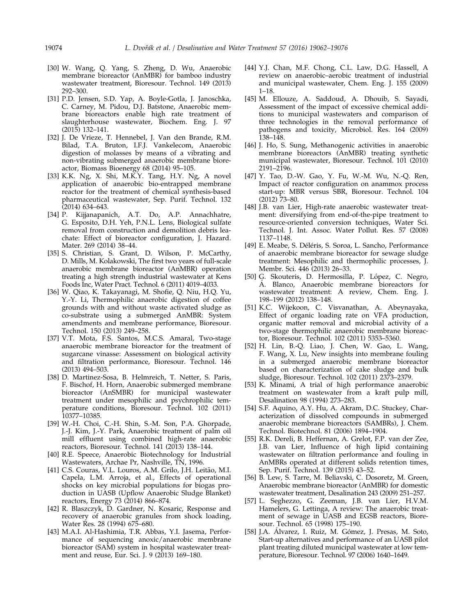- [30] W. Wang, Q. Yang, S. Zheng, D. Wu, Anaerobic membrane bioreactor (AnMBR) for bamboo industry wastewater treatment, Bioresour. Technol. 149 (2013) 292–300.
- [31] P.D. Jensen, S.D. Yap, A. Boyle-Gotla, J. Janoschka, C. Carney, M. Pidou, D.J. Batstone, Anaerobic membrane bioreactors enable high rate treatment of slaughterhouse wastewater, Biochem. Eng. J. 97 (2015) 132–141.
- [32] J. De Vrieze, T. Hennebel, J. Van den Brande, R.M. Bilad, T.A. Bruton, I.F.J. Vankelecom, Anaerobic digestion of molasses by means of a vibrating and non-vibrating submerged anaerobic membrane bioreactor, Biomass Bioenergy 68 (2014) 95–105.
- [33] K.K. Ng, X. Shi, M.K.Y. Tang, H.Y. Ng, A novel application of anaerobic bio-entrapped membrane reactor for the treatment of chemical synthesis-based pharmaceutical wastewater, Sep. Purif. Technol. 132 (2014) 634–643.
- [34] P. Kijjanapanich, A.T. Do, A.P. Annachhatre, G. Esposito, D.H. Yeh, P.N.L. Lens, Biological sulfate removal from construction and demolition debris leachate: Effect of bioreactor configuration, J. Hazard. Mater. 269 (2014) 38–44.
- [35] S. Christian, S. Grant, D. Wilson, P. McCarthy, D. Mills, M. Kolakowski, The first two years of full-scale anaerobic membrane bioreactor (AnMBR) operation treating a high strength industrial wastewater at Kens Foods Inc, Water Pract. Technol. 6 (2011) 4019–4033.
- [36] W. Qiao, K. Takayanagi, M. Shofie, Q. Niu, H.Q. Yu, Y.-Y. Li, Thermophilic anaerobic digestion of coffee grounds with and without waste activated sludge as co-substrate using a submerged AnMBR: System amendments and membrane performance, Bioresour. Technol. 150 (2013) 249–258.
- [37] V.T. Mota, F.S. Santos, M.C.S. Amaral, Two-stage anaerobic membrane bioreactor for the treatment of sugarcane vinasse: Assessment on biological activity and filtration performance, Bioresour. Technol. 146 (2013) 494–503.
- [38] D. Martinez-Sosa, B. Helmreich, T. Netter, S. Paris, F. Bischof, H. Horn, Anaerobic submerged membrane bioreactor (AnSMBR) for municipal wastewater treatment under mesophilic and psychrophilic temperature conditions, Bioresour. Technol. 102 (2011) 10377–10385.
- [39] W.-H. Choi, C.-H. Shin, S.-M. Son, P.A. Ghorpade, J.-J. Kim, J.-Y. Park, Anaerobic treatment of palm oil mill effluent using combined high-rate anaerobic reactors, Bioresour. Technol. 141 (2013) 138–144.
- [40] R.E. Speece, Anaerobic Biotechnology for Industrial Wastewaters, Archae Pr, Nashville, TN, 1996.
- [41] C.S. Couras, V.L. Louros, A.M. Grilo, J.H. Leitão, M.I. Capela, L.M. Arroja, et al., Effects of operational shocks on key microbial populations for biogas production in UASB (Upflow Anaerobic Sludge Blanket) reactors, Energy 73 (2014) 866–874.
- [42] R. Blaszczyk, D. Gardner, N. Kosaric, Response and recovery of anaerobic granules from shock loading, Water Res. 28 (1994) 675–680.
- [43] M.A.I. Al-Hashimia, T.R. Abbas, Y.I. Jasema, Performance of sequencing anoxic/anaerobic membrane bioreactor (SAM) system in hospital wastewater treatment and reuse, Eur. Sci. J. 9 (2013) 169–180.
- [44] Y.J. Chan, M.F. Chong, C.L. Law, D.G. Hassell, A review on anaerobic–aerobic treatment of industrial and municipal wastewater, Chem. Eng. J. 155 (2009) 1–18.
- [45] M. Ellouze, A. Saddoud, A. Dhouib, S. Sayadi, Assessment of the impact of excessive chemical additions to municipal wastewaters and comparison of three technologies in the removal performance of pathogens and toxicity, Microbiol. Res. 164 (2009) 138–148.
- [46] J. Ho, S. Sung, Methanogenic activities in anaerobic membrane bioreactors (AnMBR) treating synthetic municipal wastewater, Bioresour. Technol. 101 (2010) 2191–2196.
- [47] Y. Tao, D.-W. Gao, Y. Fu, W.-M. Wu, N.-Q. Ren, Impact of reactor configuration on anammox process start-up: MBR versus SBR, Bioresour. Technol. 104 (2012) 73–80.
- [48] J.B. van Lier, High-rate anaerobic wastewater treatment: diversifying from end-of-the-pipe treatment to resource-oriented conversion techniques, Water Sci. Technol. J. Int. Assoc. Water Pollut. Res. 57 (2008) 1137–1148.
- [49] E. Meabe, S. Déléris, S. Soroa, L. Sancho, Performance of anaerobic membrane bioreactor for sewage sludge treatment: Mesophilic and thermophilic processes, J. Membr. Sci. 446 (2013) 26–33.
- [50] G. Skouteris, D. Hermosilla, P. López, C. Negro, A. Blanco, Anaerobic membrane bioreactors for wastewater treatment: A review, Chem. Eng. J. 198–199 (2012) 138–148.
- [51] K.C. Wijekoon, C. Visvanathan, A. Abeynayaka, Effect of organic loading rate on VFA production, organic matter removal and microbial activity of a two-stage thermophilic anaerobic membrane bioreactor, Bioresour. Technol. 102 (2011) 5353–5360.
- [52] H. Lin, B.-Q. Liao, J. Chen, W. Gao, L. Wang, F. Wang, X. Lu, New insights into membrane fouling in a submerged anaerobic membrane bioreactor based on characterization of cake sludge and bulk sludge, Bioresour. Technol. 102 (2011) 2373–2379.
- [53] K. Minami, A trial of high performance anaerobic treatment on wastewater from a kraft pulp mill, Desalination 98 (1994) 273–283.
- [54] S.F. Aquino, A.Y. Hu, A. Akram, D.C. Stuckey, Characterization of dissolved compounds in submerged anaerobic membrane bioreactors (SAMBRs), J. Chem. Technol. Biotechnol. 81 (2006) 1894–1904.
- [55] R.K. Dereli, B. Heffernan, A. Grelot, F.P. van der Zee, J.B. van Lier, Influence of high lipid containing wastewater on filtration performance and fouling in AnMBRs operated at different solids retention times, Sep. Purif. Technol. 139 (2015) 43–52.
- [56] B. Lew, S. Tarre, M. Beliavski, C. Dosoretz, M. Green, Anaerobic membrane bioreactor (AnMBR) for domestic wastewater treatment, Desalination 243 (2009) 251–257.
- [57] L. Seghezzo, G. Zeeman, J.B. van Lier, H.V.M. Hamelers, G. Lettinga, A review: The anaerobic treatment of sewage in UASB and EGSB reactors, Bioresour. Technol. 65 (1998) 175–190.
- [58] J.A. Álvarez, I. Ruiz, M. Gómez, J. Presas, M. Soto, Start-up alternatives and performance of an UASB pilot plant treating diluted municipal wastewater at low temperature, Bioresour. Technol. 97 (2006) 1640–1649.

<span id="page-12-0"></span>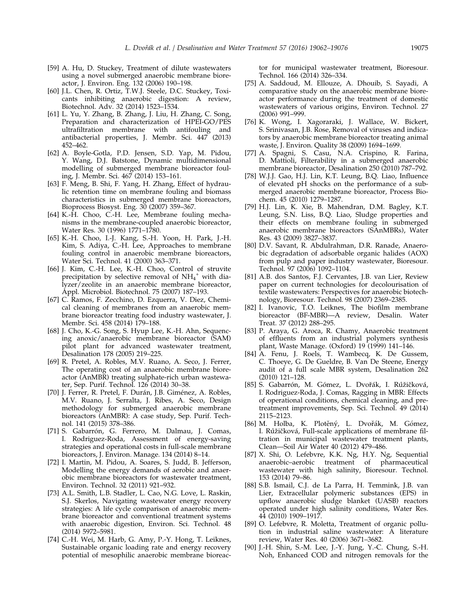- <span id="page-13-0"></span>[59] A. Hu, D. Stuckey, Treatment of dilute wastewaters using a novel submerged anaerobic membrane bioreactor, J. Environ. Eng. 132 (2006) 190–198.
- [60] J.L. Chen, R. Ortiz, T.W.J. Steele, D.C. Stuckey, Toxicants inhibiting anaerobic digestion: A review, Biotechnol. Adv. 32 (2014) 1523–1534.
- [61] L. Yu, Y. Zhang, B. Zhang, J. Liu, H. Zhang, C. Song, Preparation and characterization of HPEI-GO/PES ultrafiltration membrane with antifouling and antibacterial properties, J. Membr. Sci. 447 (2013) 452–462.
- [62] A. Boyle-Gotla, P.D. Jensen, S.D. Yap, M. Pidou, Y. Wang, D.J. Batstone, Dynamic multidimensional modelling of submerged membrane bioreactor fouling, J. Membr. Sci. 467 (2014) 153–161.
- [63] F. Meng, B. Shi, F. Yang, H. Zhang, Effect of hydraulic retention time on membrane fouling and biomass characteristics in submerged membrane bioreactors, Bioprocess Biosyst. Eng. 30 (2007) 359–367.
- [64] K.-H. Choo, C.-H. Lee, Membrane fouling mechanisms in the membrane-coupled anaerobic bioreactor, Water Res. 30 (1996) 1771–1780.
- [65] K.-H. Choo, I.-J. Kang, S.-H. Yoon, H. Park, J.-H. Kim, S. Adiya, C.-H. Lee, Approaches to membrane fouling control in anaerobic membrane bioreactors, Water Sci. Technol. 41 (2000) 363–371.
- [66] J. Kim, C.-H. Lee, K.-H. Choo, Control of struvite precipitation by selective removal of  $NH_4^+$  with dialyzer/zeolite in an anaerobic membrane bioreactor, Appl. Microbiol. Biotechnol. 75 (2007) 187–193.
- [67] C. Ramos, F. Zecchino, D. Ezquerra, V. Diez, Chemical cleaning of membranes from an anaerobic membrane bioreactor treating food industry wastewater, J. Membr. Sci. 458 (2014) 179-188.
- [68] J. Cho, K.-G. Song, S. Hyup Lee, K.-H. Ahn, Sequencing anoxic/anaerobic membrane bioreactor (SAM) pilot plant for advanced wastewater treatment, Desalination 178 (2005) 219–225.
- [69] R. Pretel, A. Robles, M.V. Ruano, A. Seco, J. Ferrer, The operating cost of an anaerobic membrane bioreactor (AnMBR) treating sulphate-rich urban wastewater, Sep. Purif. Technol. 126 (2014) 30–38.
- [70] J. Ferrer, R. Pretel, F. Durán, J.B. Giménez, A. Robles, M.V. Ruano, J. Serralta, J. Ribes, A. Seco, Design methodology for submerged anaerobic membrane bioreactors (AnMBR): A case study, Sep. Purif. Technol. 141 (2015) 378–386.
- [71] S. Gabarrón, G. Ferrero, M. Dalmau, J. Comas, I. Rodriguez-Roda, Assessment of energy-saving strategies and operational costs in full-scale membrane bioreactors, J. Environ. Manage. 134 (2014) 8–14.
- [72] I. Martin, M. Pidou, A. Soares, S. Judd, B. Jefferson, Modelling the energy demands of aerobic and anaerobic membrane bioreactors for wastewater treatment, Environ. Technol. 32 (2011) 921–932.
- [73] A.L. Smith, L.B. Stadler, L. Cao, N.G. Love, L. Raskin, S.J. Skerlos, Navigating wastewater energy recovery strategies: A life cycle comparison of anaerobic membrane bioreactor and conventional treatment systems with anaerobic digestion, Environ. Sci. Technol. 48 (2014) 5972–5981.
- [74] C.-H. Wei, M. Harb, G. Amy, P.-Y. Hong, T. Leiknes, Sustainable organic loading rate and energy recovery potential of mesophilic anaerobic membrane bioreac-

tor for municipal wastewater treatment, Bioresour. Technol. 166 (2014) 326-334.

- [75] A. Saddoud, M. Ellouze, A. Dhouib, S. Sayadi, A comparative study on the anaerobic membrane bioreactor performance during the treatment of domestic wastewaters of various origins, Environ. Technol. 27 (2006) 991–999.
- [76] K. Wong, I. Xagoraraki, J. Wallace, W. Bickert, S. Srinivasan, J.B. Rose, Removal of viruses and indicators by anaerobic membrane bioreactor treating animal waste, J. Environ. Quality 38 (2009) 1694–1699.
- [77] A. Spagni, S. Casu, N.A. Crispino, R. Farina, D. Mattioli, Filterability in a submerged anaerobic membrane bioreactor, Desalination 250 (2010) 787–792.
- [78] W.J.J. Gao, H.J. Lin, K.T. Leung, B.Q. Liao, Influence of elevated pH shocks on the performance of a submerged anaerobic membrane bioreactor, Process Biochem. 45 (2010) 1279–1287.
- [79] H.J. Lin, K. Xie, B. Mahendran, D.M. Bagley, K.T. Leung, S.N. Liss, B.Q. Liao, Sludge properties and their effects on membrane fouling in submerged anaerobic membrane bioreactors (SAnMBRs), Water Res. 43 (2009) 3827–3837.
- [80] D.V. Savant, R. Abdulrahman, D.R. Ranade, Anaerobic degradation of adsorbable organic halides (AOX) from pulp and paper industry wastewater, Bioresour. Technol. 97 (2006) 1092-1104.
- [81] A.B. dos Santos, F.J. Cervantes, J.B. van Lier, Review paper on current technologies for decolourisation of textile wastewaters: Perspectives for anaerobic biotechnology, Bioresour. Technol. 98 (2007) 2369–2385.
- [82] I. Ivanovic, T.O. Leiknes, The biofilm membrane bioreactor (BF-MBR)—A review, Desalin. Water Treat. 37 (2012) 288–295.
- [83] P. Araya, G. Aroca, R. Chamy, Anaerobic treatment of effluents from an industrial polymers synthesis plant, Waste Manage. (Oxford) 19 (1999) 141–146.
- [84] A. Fenu, J. Roels, T. Wambecq, K. De Gussem, C. Thoeye, G. De Gueldre, B. Van De Steene, Energy audit of a full scale MBR system, Desalination 262 (2010) 121–128.
- [85] S. Gabarrón, M. Gómez, L. Dvořák, I. Růžičková, I. Rodriguez-Roda, J. Comas, Ragging in MBR: Effects of operational conditions, chemical cleaning, and pretreatment improvements, Sep. Sci. Technol. 49 (2014) 2115–2123.
- [86] M. Holba, K. Plotěný, L. Dvořák, M. Gómez, I. Růžičková, Full-scale applications of membrane filtration in municipal wastewater treatment plants, Clean—Soil Air Water 40 (2012) 479–486.
- [87] X. Shi, O. Lefebvre, K.K. Ng, H.Y. Ng, Sequential anaerobic–aerobic treatment of pharmaceutical wastewater with high salinity, Bioresour. Technol. 153 (2014) 79–86.
- [88] S.B. Ismail, C.J. de La Parra, H. Temmink, J.B. van Lier, Extracellular polymeric substances (EPS) in upflow anaerobic sludge blanket (UASB) reactors operated under high salinity conditions, Water Res. 44 (2010) 1909–1917.
- [89] O. Lefebvre, R. Moletta, Treatment of organic pollution in industrial saline wastewater: A literature review, Water Res. 40 (2006) 3671–3682.
- [90] J.-H. Shin, S.-M. Lee, J.-Y. Jung, Y.-C. Chung, S.-H. Noh, Enhanced COD and nitrogen removals for the